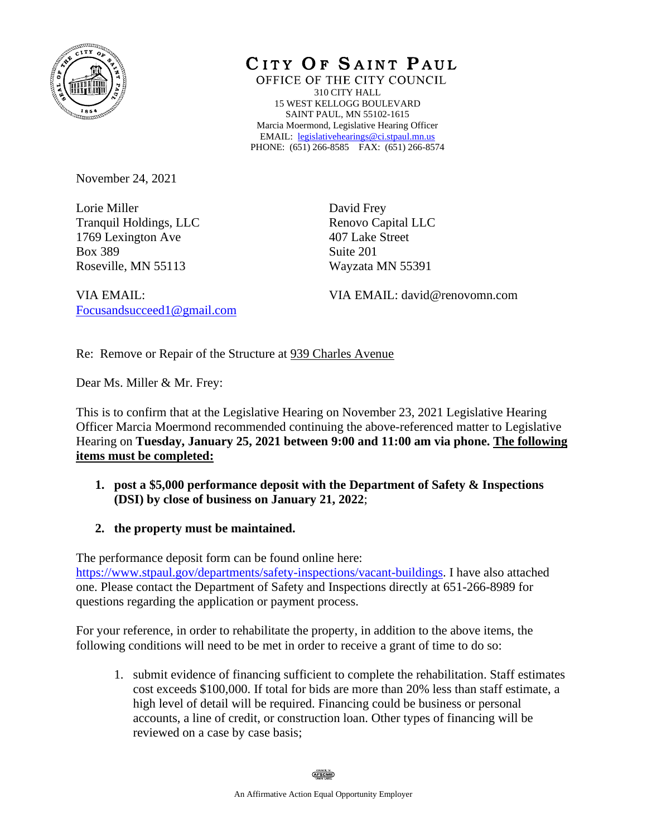

CITY OF SAINT PAUL

OFFICE OF THE CITY COUNCIL 310 CITY HALL 15 WEST KELLOGG BOULEVARD SAINT PAUL, MN 55102-1615 Marcia Moermond, Legislative Hearing Officer EMAIL: [legislativehearings@ci.stpaul.mn.us](mailto:legislativehearings@ci.stpaul.mn.us) PHONE: (651) 266-8585 FAX: (651) 266-8574

November 24, 2021

Lorie Miller Tranquil Holdings, LLC 1769 Lexington Ave Box 389 Roseville, MN 55113

David Frey Renovo Capital LLC 407 Lake Street Suite 201 Wayzata MN 55391

VIA EMAIL: [Focusandsucceed1@gmail.com](mailto:Focusandsucceed1@gmail.com) VIA EMAIL: david@renovomn.com

Re: Remove or Repair of the Structure at 939 Charles Avenue

Dear Ms. Miller & Mr. Frey:

This is to confirm that at the Legislative Hearing on November 23, 2021 Legislative Hearing Officer Marcia Moermond recommended continuing the above-referenced matter to Legislative Hearing on **Tuesday, January 25, 2021 between 9:00 and 11:00 am via phone. The following items must be completed:**

- **1. post a \$5,000 performance deposit with the Department of Safety & Inspections (DSI) by close of business on January 21, 2022**;
- **2. the property must be maintained.**

The performance deposit form can be found online here: [https://www.stpaul.gov/departments/safety-inspections/vacant-buildings.](https://www.stpaul.gov/departments/safety-inspections/vacant-buildings) I have also attached one. Please contact the Department of Safety and Inspections directly at 651-266-8989 for questions regarding the application or payment process.

For your reference, in order to rehabilitate the property, in addition to the above items, the following conditions will need to be met in order to receive a grant of time to do so:

1. submit evidence of financing sufficient to complete the rehabilitation. Staff estimates cost exceeds \$100,000. If total for bids are more than 20% less than staff estimate, a high level of detail will be required. Financing could be business or personal accounts, a line of credit, or construction loan. Other types of financing will be reviewed on a case by case basis;